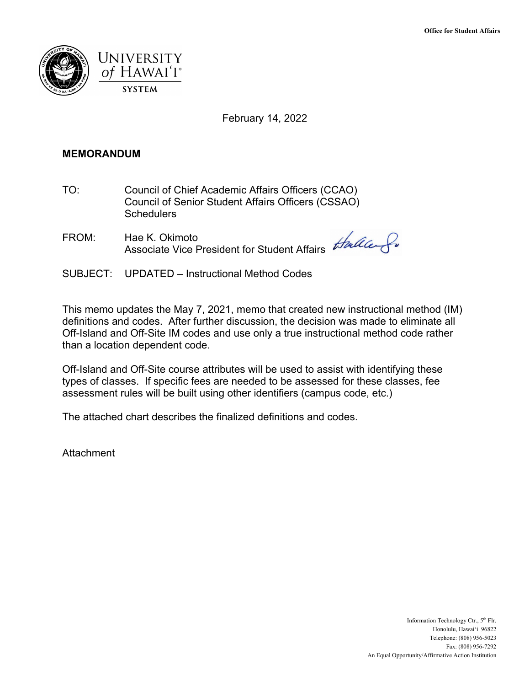

February 14, 2022

## **MEMORANDUM**

- **Schedulers** TO: Council of Chief Academic Affairs Officers (CCAO) Council of Senior Student Affairs Officers (CSSAO) Schedulers<br>FROM: Hae K. Okimoto
- Associate Vice President for Student Affairs

SUBJECT: UPDATED – Instructional Method Codes

This memo updates the May 7, 2021, memo that created new instructional method (IM) definitions and codes. After further discussion, the decision was made to eliminate all Off-Island and Off-Site IM codes and use only a true instructional method code rather than a location dependent code.

Off-Island and Off-Site course attributes will be used to assist with identifying these types of classes. If specific fees are needed to be assessed for these classes, fee assessment rules will be built using other identifiers (campus code, etc.)

The attached chart describes the finalized definitions and codes.

**Attachment**